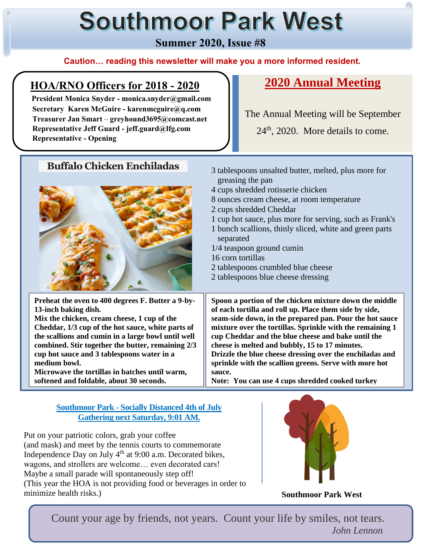# **Southmoor Park West**

**Summer 2020, Issue #8**

#### **Caution… reading this newsletter will make you a more informed resident.**

# **HOA/RNO Officers for 2018 - 2020**

**Buffalo Chicken Enchiladas** 3 tablespoons unsalted butter, melted, plus more for

 **President Monica Snyder - monica.snyder@gmail.com Secretary Karen McGuire - karenmcguire@q.com Treasurer Jan Smart** – **greyhound3695@comcast.net Representative Jeff Guard - jeff.guard@lfg.com Representative - Opening**

# **2020 Annual Meeting**

The Annual Meeting will be September

24<sup>th</sup>, 2020. More details to come.

| Dunano Chienen Phemadas                            | 3 tablespoons unsalted butter, melted, plus more for<br>greasing the pan |
|----------------------------------------------------|--------------------------------------------------------------------------|
|                                                    | 4 cups shredded rotisserie chicken                                       |
|                                                    | 8 ounces cream cheese, at room temperature                               |
|                                                    | 2 cups shredded Cheddar                                                  |
|                                                    | 1 cup hot sauce, plus more for serving, such as Frank's                  |
|                                                    | 1 bunch scallions, thinly sliced, white and green parts<br>separated     |
|                                                    | 1/4 teaspoon ground cumin                                                |
|                                                    | 16 corn tortillas                                                        |
|                                                    | 2 tablespoons crumbled blue cheese                                       |
|                                                    | 2 tablespoons blue cheese dressing                                       |
|                                                    |                                                                          |
|                                                    |                                                                          |
| Preheat the oven to 400 degrees F. Butter a 9-by-  | Spoon a portion of the chicken mixture down the middle                   |
| 13-inch baking dish.                               | of each tortilla and roll up. Place them side by side,                   |
| Mix the chicken, cream cheese, 1 cup of the        | seam-side down, in the prepared pan. Pour the hot sauce                  |
| Cheddar, 1/3 cup of the hot sauce, white parts of  | mixture over the tortillas. Sprinkle with the remaining 1                |
| the scallions and cumin in a large bowl until well | cup Cheddar and the blue cheese and bake until the                       |
| combined. Stir together the butter, remaining 2/3  | cheese is melted and bubbly, 15 to 17 minutes.                           |
| cup hot sauce and 3 tablespoons water in a         | Drizzle the blue cheese dressing over the enchiladas and                 |
| medium bowl.                                       | sprinkle with the scallion greens. Serve with more hot                   |
| Microwave the tortillas in batches until warm,     | sauce.                                                                   |
| softened and foldable, about 30 seconds.           | Note: You can use 4 cups shredded cooked turkey                          |

#### **Southmoor Park - Socially Distanced 4th of July Gathering next Saturday, 9:01 AM.**

I

I

l

Put on your patriotic colors, grab your coffee (and mask) and meet by the tennis courts to commemorate Independence Day on July 4<sup>th</sup> at 9:00 a.m. Decorated bikes, wagons, and strollers are welcome… even decorated cars! Maybe a small parade will spontaneously step off! (This year the HOA is not providing food or beverages in order to minimize health risks.)



**Southmoor Park West**

 Count your age by friends, not years. Count your life by smiles, not tears. *John Lennon*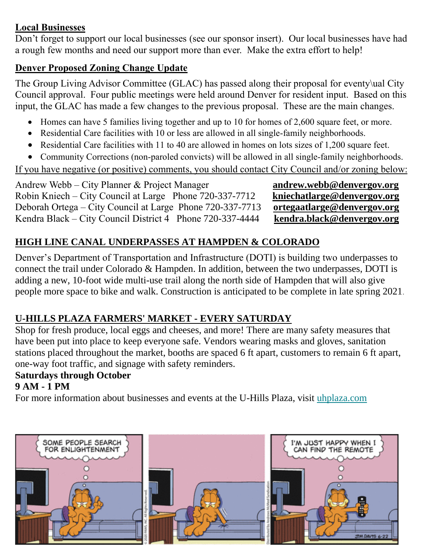## **Local Businesses**

Don't forget to support our local businesses (see our sponsor insert). Our local businesses have had a rough few months and need our support more than ever. Make the extra effort to help!

## **Denver Proposed Zoning Change Update**

The Group Living Advisor Committee (GLAC) has passed along their proposal for eventy\ual City Council approval. Four public meetings were held around Denver for resident input. Based on this input, the GLAC has made a few changes to the previous proposal. These are the main changes.

- Homes can have 5 families living together and up to 10 for homes of 2,600 square feet, or more.
- Residential Care facilities with 10 or less are allowed in all single-family neighborhoods.
- Residential Care facilities with 11 to 40 are allowed in homes on lots sizes of 1,200 square feet.
- Community Corrections (non-paroled convicts) will be allowed in all single-family neighborhoods.

If you have negative (or positive) comments, you should contact City Council and/or zoning below:

Andrew Webb – City Planner & Project Manager **[andrew.webb@denvergov.org](mailto:andrew.webb@denvergov.org)** Robin Kniech – City Council at Large Phone 720-337-7712 **[kniechatlarge@denvergov.org](mailto:kniechatlarge@denvergov.org)**<br>Deborah Ortega – City Council at Large Phone 720-337-7713 ortegaatlarge@denvergov.org Deborah Ortega – City Council at Large Phone 720-337-7713 Kendra Black – City Council District 4 Phone 720-337-4444 **[kendra.black@denvergov.org](mailto:kendra.black@denvergov.org)**

# **HIGH LINE CANAL UNDERPASSES AT HAMPDEN & COLORADO**

Denver's Department of Transportation and Infrastructure (DOTI) is building two underpasses to connect the trail under Colorado & Hampden. In addition, between the two underpasses, DOTI is adding a new, 10-foot wide multi-use trail along the north side of Hampden that will also give people more space to bike and walk. Construction is anticipated to be complete in late spring 2021.

# **U-HILLS PLAZA FARMERS' MARKET - EVERY SATURDAY**

Shop for fresh produce, local eggs and cheeses, and more! There are many safety measures that have been put into place to keep everyone safe. Vendors wearing masks and gloves, sanitation stations placed throughout the market, booths are spaced 6 ft apart, customers to remain 6 ft apart, one-way foot traffic, and signage with safety reminders.

# **Saturdays through October**

## **9 AM - 1 PM**

For more information about businesses and events at the U-Hills Plaza, visit [uhplaza.com](https://denvergov.us9.list-manage.com/track/click?u=4d96c0ca8b269d23fcb50a648&id=67b65ae9cd&e=ead3c3a617)

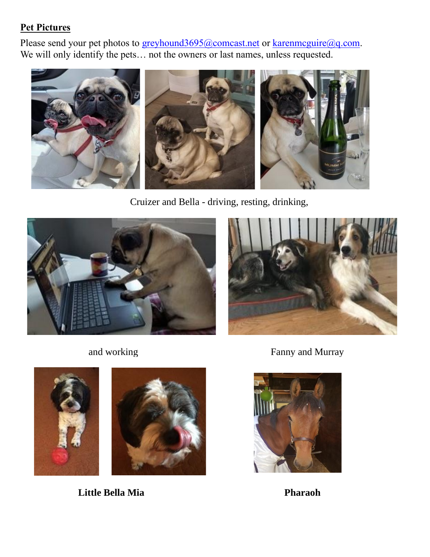## **Pet Pictures**

Please send your pet photos to [greyhound3695@comcast.net](mailto:greyhound3695@comcast.net) or karenmcguire@q.com. We will only identify the pets... not the owners or last names, unless requested.



Cruizer and Bella - driving, resting, drinking,









 **Little Bella Mia Pharaoh**

and working Fanny and Murray

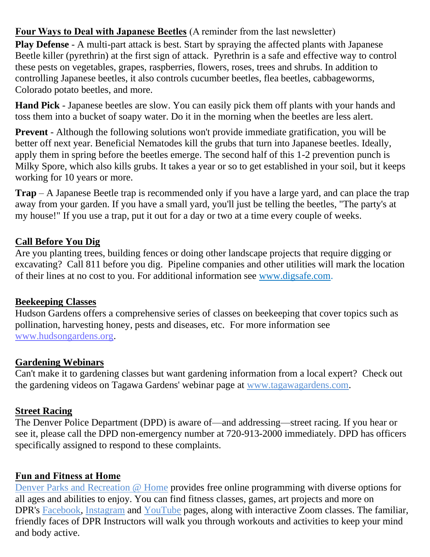**Four Ways to Deal with Japanese Beetles** (A reminder from the last newsletter)

**Play Defense** - A multi-part attack is best. Start by spraying the affected plants with Japanese Beetle killer (pyrethrin) at the first sign of attack. Pyrethrin is a safe and effective way to control these pests on vegetables, grapes, raspberries, flowers, roses, trees and shrubs. In addition to controlling Japanese beetles, it also controls cucumber beetles, flea beetles, cabbageworms, Colorado potato beetles, and more.

**Hand Pick** - Japanese beetles are slow. You can easily pick them off plants with your hands and toss them into a bucket of soapy water. Do it in the morning when the beetles are less alert.

**Prevent** - Although the following solutions won't provide immediate gratification, you will be better off next year. Beneficial Nematodes kill the grubs that turn into Japanese beetles. Ideally, apply them in spring before the beetles emerge. The second half of this 1-2 prevention punch is Milky Spore, which also kills grubs. It takes a year or so to get established in your soil, but it keeps working for 10 years or more.

**Trap** – A Japanese Beetle trap is recommended only if you have a large yard, and can place the trap away from your garden. If you have a small yard, you'll just be telling the beetles, "The party's at my house!" If you use a trap, put it out for a day or two at a time every couple of weeks.

## **Call Before You Dig**

Are you planting trees, building fences or doing other landscape projects that require digging or excavating? Call 811 before you dig. Pipeline companies and other utilities will mark the location of their lines at no cost to you. For additional information see [www.digsafe.com.](http://www.digsafe.com/)

## **Beekeeping Classes**

Hudson Gardens offers a comprehensive series of classes on beekeeping that cover topics such as pollination, harvesting honey, pests and diseases, etc. For more information see [www.hudsongardens.org.](http://www.hudsongardens.org/)

## **Gardening Webinars**

Can't make it to gardening classes but want gardening information from a local expert? Check out the gardening videos on Tagawa Gardens' webinar page at [www.tagawagardens.com.](http://www.tagawagardens.com/)

## **Street Racing**

The Denver Police Department (DPD) is aware of—and addressing—street racing. If you hear or see it, please call the DPD non-emergency number at 720-913-2000 immediately. DPD has officers specifically assigned to respond to these complaints.

## **Fun and Fitness at Home**

[Denver Parks and Recreation @ Home](https://denvergov.us9.list-manage.com/track/click?u=4d96c0ca8b269d23fcb50a648&id=fec938b29f&e=ead3c3a617) provides free online programming with diverse options for all ages and abilities to enjoy. You can find fitness classes, games, art projects and more on DPR's [Facebook,](https://denvergov.us9.list-manage.com/track/click?u=4d96c0ca8b269d23fcb50a648&id=a9cd4a89ef&e=ead3c3a617) [Instagram](https://denvergov.us9.list-manage.com/track/click?u=4d96c0ca8b269d23fcb50a648&id=3fe46bf04e&e=ead3c3a617) and [YouTube](https://denvergov.us9.list-manage.com/track/click?u=4d96c0ca8b269d23fcb50a648&id=ce3d1c3f0e&e=ead3c3a617) pages, along with interactive Zoom classes. The familiar, friendly faces of DPR Instructors will walk you through workouts and activities to keep your mind and body active.